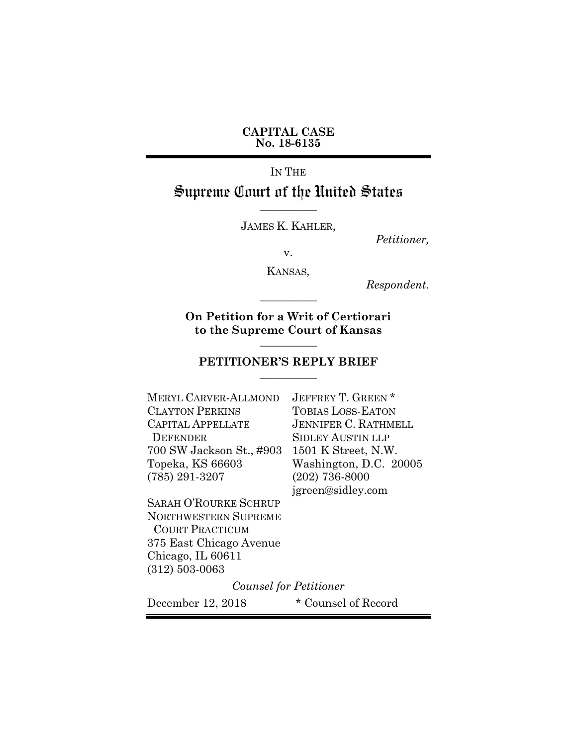**CAPITAL CASE No. 18-6135**

IN THE Supreme Court of the United States

JAMES K. KAHLER,

**\_\_\_\_\_\_\_\_\_\_\_**

*Petitioner,*

v.

KANSAS*,*

**\_\_\_\_\_\_\_\_\_\_\_**

*Respondent.*

**On Petition for a Writ of Certiorari to the Supreme Court of Kansas \_\_\_\_\_\_\_\_\_\_\_**

#### **PETITIONER'S REPLY BRIEF \_\_\_\_\_\_\_\_\_\_\_**

MERYL CARVER-ALLMOND JEFFREY T. GREEN \* CLAYTON PERKINS TOBIAS LOSS-EATON CAPITAL APPELLATE JENNIFER C. RATHMELL DEFENDER SIDLEY AUSTIN LLP 700 SW Jackson St., #903 1501 K Street, N.W. Topeka, KS 66603 Washington, D.C. 20005 (785) 291-3207 (202) 736-8000

SARAH O'ROURKE SCHRUP NORTHWESTERN SUPREME COURT PRACTICUM 375 East Chicago Avenue Chicago, IL 60611 (312) 503-0063

jgreen@sidley.com

*Counsel for Petitioner*

December 12, 2018 \* Counsel of Record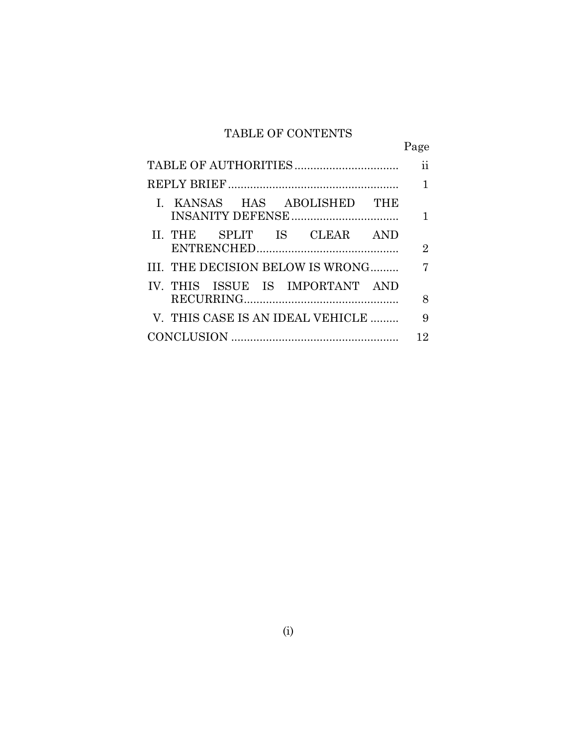## TABLE OF CONTENTS

|                                  | Page          |
|----------------------------------|---------------|
|                                  | $\mathbf{ii}$ |
|                                  | 1             |
| I. KANSAS HAS ABOLISHED THE      |               |
| II. THE SPLIT IS CLEAR AND       | $\mathbf{2}$  |
| III. THE DECISION BELOW IS WRONG | 7             |
| IV. THIS ISSUE IS IMPORTANT AND  | 8             |
| V. THIS CASE IS AN IDEAL VEHICLE | 9             |
|                                  | 12            |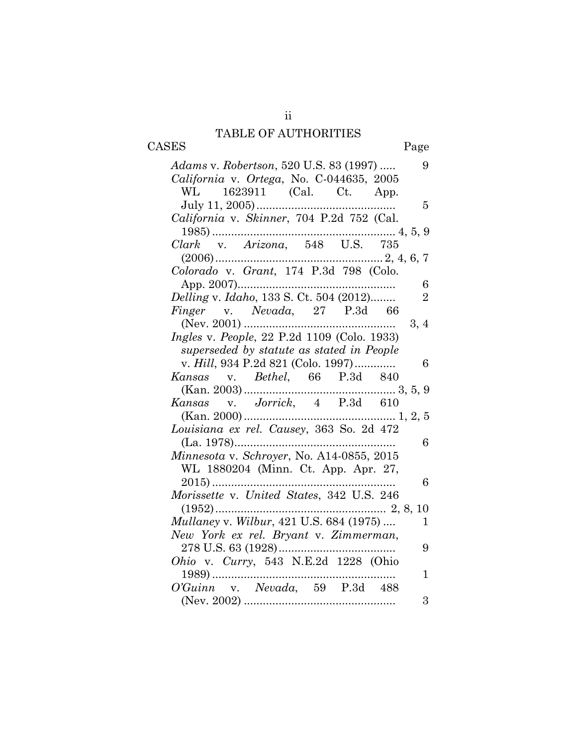## TABLE OF AUTHORITIES CASES Page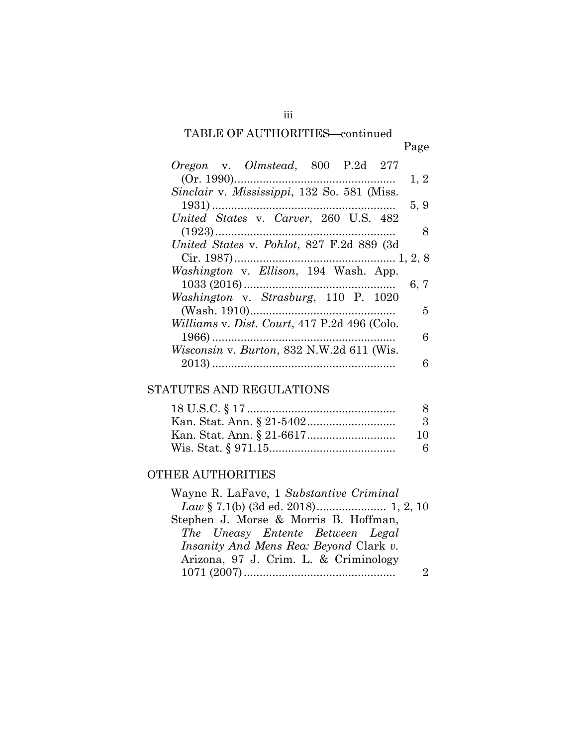# TABLE OF AUTHORITIES-continued

| <i>Oregon</i> v. <i>Olmstead</i> , 800 P.2d 277  |      |
|--------------------------------------------------|------|
|                                                  | 1, 2 |
| Sinclair v. Mississippi, 132 So. 581 (Miss.      |      |
|                                                  | 5, 9 |
| United States v. Carver, 260 U.S. 482            |      |
|                                                  | 8    |
| United States v. Pohlot, 827 F.2d 889 (3d)       |      |
|                                                  |      |
| Washington v. Ellison, 194 Wash. App.            |      |
|                                                  | 6, 7 |
| Washington v. Strasburg, 110 P. 1020             |      |
|                                                  | 5    |
| Williams v. Dist. Court, 417 P.2d 496 (Colo.     |      |
|                                                  | 6    |
| <i>Wisconsin v. Burton, 832 N.W.2d 611 (Wis.</i> |      |
|                                                  | 6    |
|                                                  |      |

### STATUTES AND REGULATIONS

| 8         |
|-----------|
| $\cdot$ 3 |
| 10        |
| 6         |

## OTHER AUTHORITIES

| Wayne R. LaFave, 1 Substantive Criminal       |  |
|-----------------------------------------------|--|
|                                               |  |
| Stephen J. Morse & Morris B. Hoffman,         |  |
| The Uneasy Entente Between Legal              |  |
| <i>Insanity And Mens Rea: Beyond Clark v.</i> |  |
| Arizona, 97 J. Crim. L. & Criminology         |  |
|                                               |  |
|                                               |  |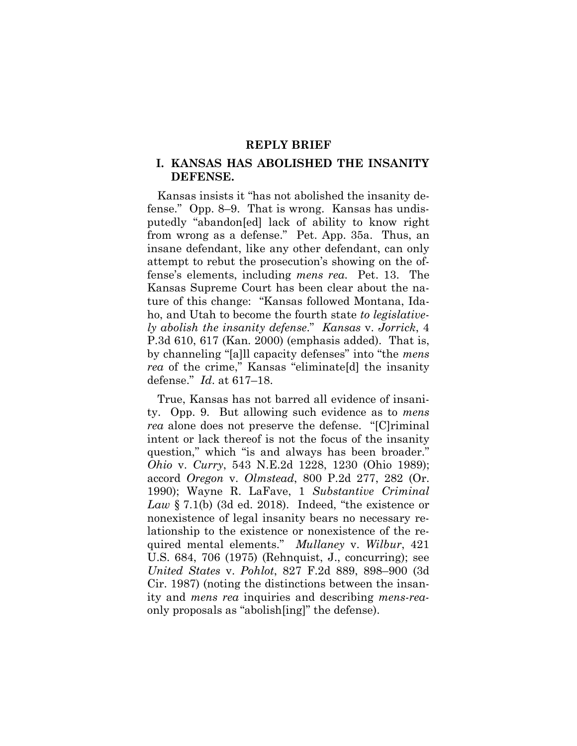#### **REPLY BRIEF**

#### **I. KANSAS HAS ABOLISHED THE INSANITY DEFENSE.**

Kansas insists it "has not abolished the insanity defense." Opp. 8–9. That is wrong. Kansas has undisputedly "abandon[ed] lack of ability to know right from wrong as a defense." Pet. App. 35a. Thus, an insane defendant, like any other defendant, can only attempt to rebut the prosecution's showing on the offense's elements, including *mens rea*. Pet. 13. The Kansas Supreme Court has been clear about the nature of this change: "Kansas followed Montana, Idaho, and Utah to become the fourth state *to legislatively abolish the insanity defense*." *Kansas* v. *Jorrick*, 4 P.3d 610, 617 (Kan. 2000) (emphasis added). That is, by channeling "[a]ll capacity defenses" into "the *mens rea* of the crime," Kansas "eliminate[d] the insanity defense." *Id*. at 617–18.

True, Kansas has not barred all evidence of insanity. Opp. 9. But allowing such evidence as to *mens rea* alone does not preserve the defense. "[C]riminal intent or lack thereof is not the focus of the insanity question," which "is and always has been broader." *Ohio* v. *Curry*, 543 N.E.2d 1228, 1230 (Ohio 1989); accord *Oregon* v. *Olmstead*, 800 P.2d 277, 282 (Or. 1990); Wayne R. LaFave, 1 *Substantive Criminal Law* § 7.1(b) (3d ed. 2018). Indeed, "the existence or nonexistence of legal insanity bears no necessary relationship to the existence or nonexistence of the required mental elements." *Mullaney* v. *Wilbur*, 421 U.S. 684, 706 (1975) (Rehnquist, J., concurring); see *United States* v. *Pohlot*, 827 F.2d 889, 898–900 (3d Cir. 1987) (noting the distinctions between the insanity and *mens rea* inquiries and describing *mens-rea*only proposals as "abolish[ing]" the defense).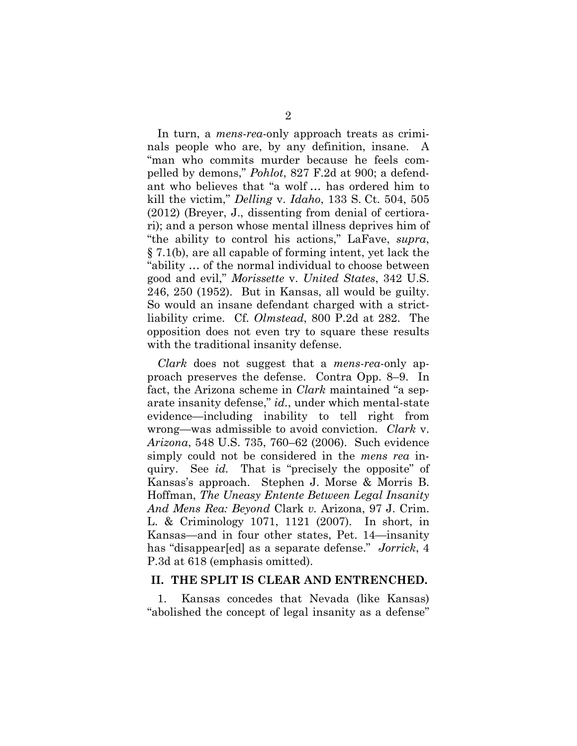In turn, a *mens-rea*-only approach treats as criminals people who are, by any definition, insane. A "man who commits murder because he feels compelled by demons," *Pohlot*, 827 F.2d at 900; a defendant who believes that "a wolf … has ordered him to kill the victim," *Delling* v. *Idaho*, 133 S. Ct. 504, 505 (2012) (Breyer, J., dissenting from denial of certiorari); and a person whose mental illness deprives him of "the ability to control his actions," LaFave, *supra*, § 7.1(b), are all capable of forming intent, yet lack the "ability … of the normal individual to choose between good and evil," *Morissette* v. *United States*, 342 U.S. 246, 250 (1952). But in Kansas, all would be guilty. So would an insane defendant charged with a strictliability crime. Cf. *Olmstead*, 800 P.2d at 282. The opposition does not even try to square these results with the traditional insanity defense.

*Clark* does not suggest that a *mens-rea*-only approach preserves the defense. Contra Opp. 8–9. In fact, the Arizona scheme in *Clark* maintained "a separate insanity defense," *id.*, under which mental-state evidence—including inability to tell right from wrong—was admissible to avoid conviction. *Clark* v. *Arizona*, 548 U.S. 735, 760–62 (2006). Such evidence simply could not be considered in the *mens rea* inquiry. See *id.* That is "precisely the opposite" of Kansas's approach. Stephen J. Morse & Morris B. Hoffman, *The Uneasy Entente Between Legal Insanity And Mens Rea: Beyond* Clark *v.* Arizona, 97 J. Crim. L. & Criminology 1071, 1121 (2007). In short, in Kansas—and in four other states, Pet. 14—insanity has "disappear[ed] as a separate defense." *Jorrick*, 4 P.3d at 618 (emphasis omitted).

#### **II. THE SPLIT IS CLEAR AND ENTRENCHED.**

1. Kansas concedes that Nevada (like Kansas) "abolished the concept of legal insanity as a defense"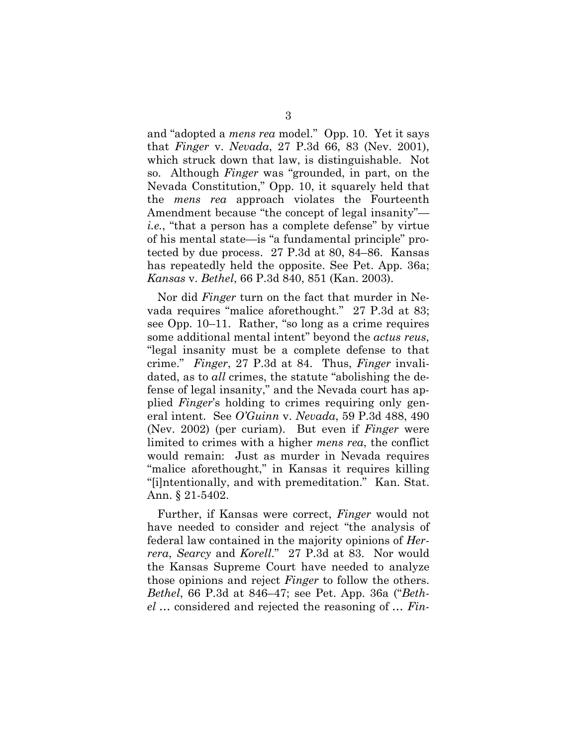and "adopted a *mens rea* model." Opp. 10. Yet it says that *Finger* v. *Nevada*, 27 P.3d 66, 83 (Nev. 2001), which struck down that law, is distinguishable. Not so. Although *Finger* was "grounded, in part, on the Nevada Constitution," Opp. 10, it squarely held that the *mens rea* approach violates the Fourteenth Amendment because "the concept of legal insanity" *i.e.*, "that a person has a complete defense" by virtue of his mental state—is "a fundamental principle" protected by due process. 27 P.3d at 80, 84–86. Kansas has repeatedly held the opposite. See Pet. App. 36a; *Kansas* v. *Bethel*, 66 P.3d 840, 851 (Kan. 2003).

Nor did *Finger* turn on the fact that murder in Nevada requires "malice aforethought." 27 P.3d at 83; see Opp. 10–11. Rather, "so long as a crime requires some additional mental intent" beyond the *actus reus*, "legal insanity must be a complete defense to that crime." *Finger*, 27 P.3d at 84. Thus, *Finger* invalidated, as to *all* crimes, the statute "abolishing the defense of legal insanity," and the Nevada court has applied *Finger*'s holding to crimes requiring only general intent. See *O'Guinn* v. *Nevada*, 59 P.3d 488, 490 (Nev. 2002) (per curiam). But even if *Finger* were limited to crimes with a higher *mens rea*, the conflict would remain: Just as murder in Nevada requires "malice aforethought," in Kansas it requires killing "[i]ntentionally, and with premeditation." Kan. Stat. Ann. § 21-5402.

Further, if Kansas were correct, *Finger* would not have needed to consider and reject "the analysis of federal law contained in the majority opinions of *Herrera*, *Searcy* and *Korell*." 27 P.3d at 83. Nor would the Kansas Supreme Court have needed to analyze those opinions and reject *Finger* to follow the others. *Bethel*, 66 P.3d at 846–47; see Pet. App. 36a ("*Bethel* … considered and rejected the reasoning of … *Fin-*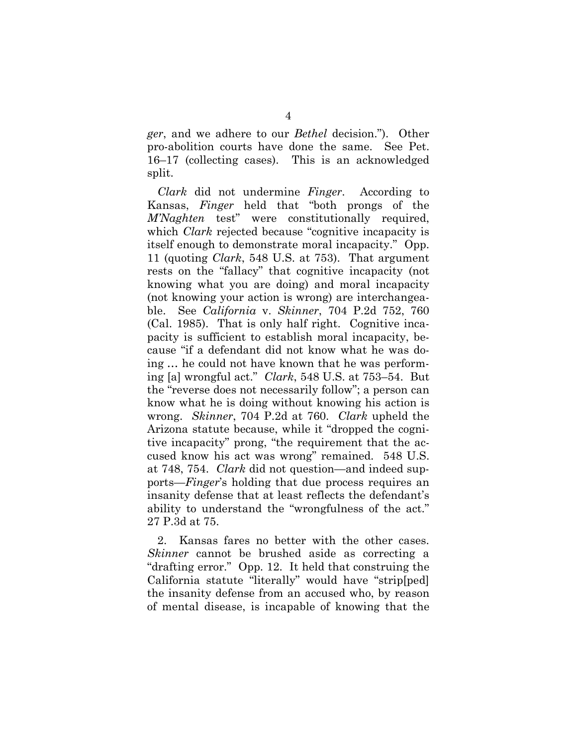*ger*, and we adhere to our *Bethel* decision."). Other pro-abolition courts have done the same. See Pet. 16–17 (collecting cases). This is an acknowledged split.

*Clark* did not undermine *Finger*. According to Kansas, *Finger* held that "both prongs of the *M'Naghten* test" were constitutionally required, which *Clark* rejected because "cognitive incapacity is itself enough to demonstrate moral incapacity." Opp. 11 (quoting *Clark*, 548 U.S. at 753). That argument rests on the "fallacy" that cognitive incapacity (not knowing what you are doing) and moral incapacity (not knowing your action is wrong) are interchangeable. See *California* v. *Skinner*, 704 P.2d 752, 760 (Cal. 1985). That is only half right. Cognitive incapacity is sufficient to establish moral incapacity, because "if a defendant did not know what he was doing … he could not have known that he was performing [a] wrongful act." *Clark*, 548 U.S. at 753–54. But the "reverse does not necessarily follow"; a person can know what he is doing without knowing his action is wrong. *Skinner*, 704 P.2d at 760. *Clark* upheld the Arizona statute because, while it "dropped the cognitive incapacity" prong, "the requirement that the accused know his act was wrong" remained. 548 U.S. at 748, 754. *Clark* did not question—and indeed supports—*Finger*'s holding that due process requires an insanity defense that at least reflects the defendant's ability to understand the "wrongfulness of the act." 27 P.3d at 75.

2. Kansas fares no better with the other cases. *Skinner* cannot be brushed aside as correcting a "drafting error." Opp. 12. It held that construing the California statute "literally" would have "strip[ped] the insanity defense from an accused who, by reason of mental disease, is incapable of knowing that the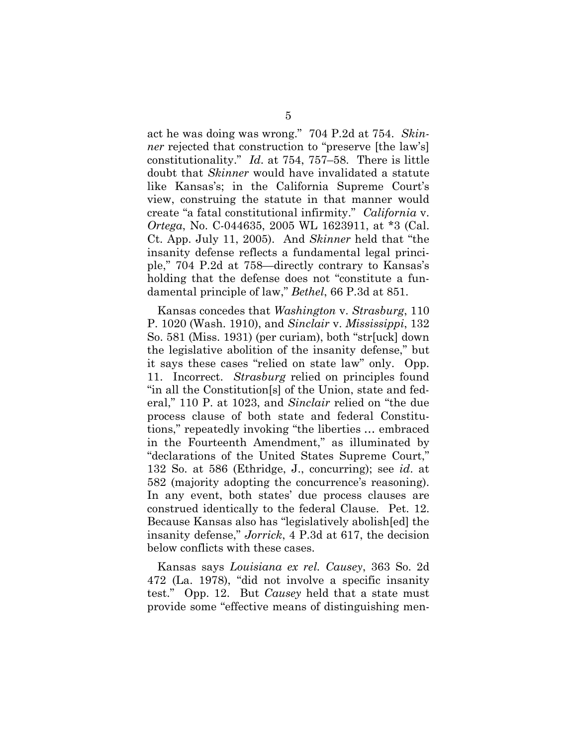act he was doing was wrong." 704 P.2d at 754. *Skinner* rejected that construction to "preserve [the law's] constitutionality." *Id*. at 754, 757–58. There is little doubt that *Skinner* would have invalidated a statute like Kansas's; in the California Supreme Court's view, construing the statute in that manner would create "a fatal constitutional infirmity." *California* v. *Ortega*, No. C-044635, 2005 WL 1623911, at \*3 (Cal. Ct. App. July 11, 2005). And *Skinner* held that "the insanity defense reflects a fundamental legal principle," 704 P.2d at 758—directly contrary to Kansas's holding that the defense does not "constitute a fundamental principle of law," *Bethel*, 66 P.3d at 851.

Kansas concedes that *Washington* v. *Strasburg*, 110 P. 1020 (Wash. 1910), and *Sinclair* v. *Mississippi*, 132 So. 581 (Miss. 1931) (per curiam), both "str[uck] down the legislative abolition of the insanity defense," but it says these cases "relied on state law" only. Opp. 11. Incorrect. *Strasburg* relied on principles found "in all the Constitution[s] of the Union, state and federal," 110 P. at 1023, and *Sinclair* relied on "the due process clause of both state and federal Constitutions," repeatedly invoking "the liberties … embraced in the Fourteenth Amendment," as illuminated by "declarations of the United States Supreme Court," 132 So. at 586 (Ethridge, J., concurring); see *id*. at 582 (majority adopting the concurrence's reasoning). In any event, both states' due process clauses are construed identically to the federal Clause. Pet. 12. Because Kansas also has "legislatively abolish[ed] the insanity defense," *Jorrick*, 4 P.3d at 617, the decision below conflicts with these cases.

Kansas says *Louisiana ex rel. Causey*, 363 So. 2d 472 (La. 1978), "did not involve a specific insanity test." Opp. 12. But *Causey* held that a state must provide some "effective means of distinguishing men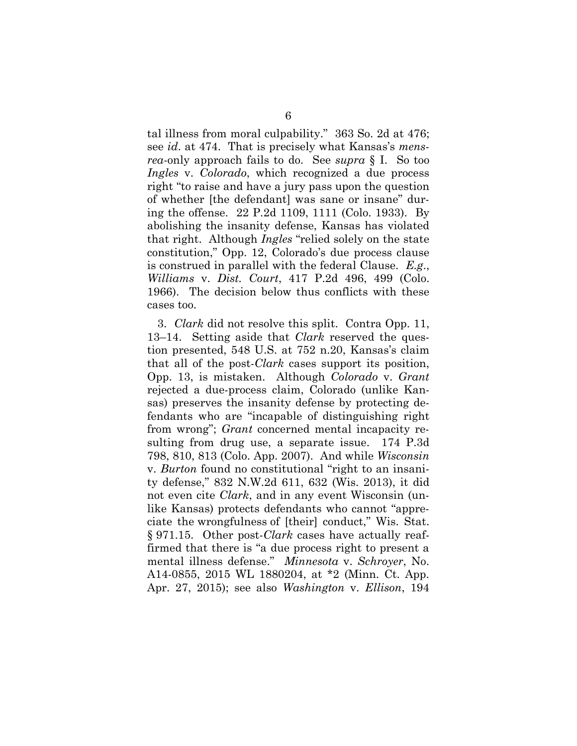tal illness from moral culpability." 363 So. 2d at 476; see *id*. at 474. That is precisely what Kansas's *mensrea*-only approach fails to do. See *supra* § I. So too *Ingles* v. *Colorado*, which recognized a due process right "to raise and have a jury pass upon the question of whether [the defendant] was sane or insane" during the offense. 22 P.2d 1109, 1111 (Colo. 1933). By abolishing the insanity defense, Kansas has violated that right. Although *Ingles* "relied solely on the state constitution," Opp. 12, Colorado's due process clause is construed in parallel with the federal Clause. *E.g*., *Williams* v. *Dist. Court*, 417 P.2d 496, 499 (Colo. 1966). The decision below thus conflicts with these cases too.

3. *Clark* did not resolve this split. Contra Opp. 11, 13–14. Setting aside that *Clark* reserved the question presented, 548 U.S. at 752 n.20, Kansas's claim that all of the post-*Clark* cases support its position, Opp. 13, is mistaken. Although *Colorado* v. *Grant* rejected a due-process claim, Colorado (unlike Kansas) preserves the insanity defense by protecting defendants who are "incapable of distinguishing right from wrong"; *Grant* concerned mental incapacity resulting from drug use, a separate issue. 174 P.3d 798, 810, 813 (Colo. App. 2007). And while *Wisconsin* v. *Burton* found no constitutional "right to an insanity defense," 832 N.W.2d 611, 632 (Wis. 2013), it did not even cite *Clark*, and in any event Wisconsin (unlike Kansas) protects defendants who cannot "appreciate the wrongfulness of [their] conduct," Wis. Stat. § 971.15. Other post-*Clark* cases have actually reaffirmed that there is "a due process right to present a mental illness defense." *Minnesota* v. *Schroyer*, No. A14-0855, 2015 WL 1880204, at \*2 (Minn. Ct. App. Apr. 27, 2015); see also *Washington* v. *Ellison*, 194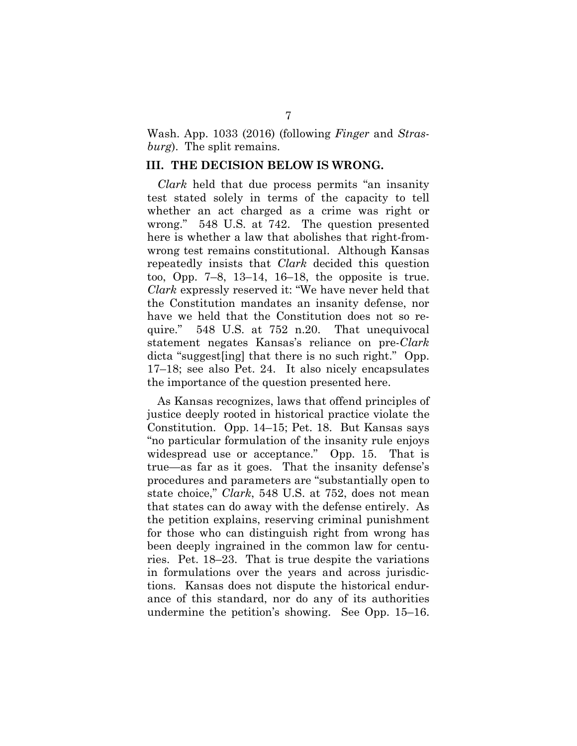Wash. App. 1033 (2016) (following *Finger* and *Strasburg*). The split remains.

#### **III. THE DECISION BELOW IS WRONG.**

*Clark* held that due process permits "an insanity test stated solely in terms of the capacity to tell whether an act charged as a crime was right or wrong." 548 U.S. at 742. The question presented here is whether a law that abolishes that right-fromwrong test remains constitutional. Although Kansas repeatedly insists that *Clark* decided this question too, Opp. 7–8, 13–14, 16–18, the opposite is true. *Clark* expressly reserved it: "We have never held that the Constitution mandates an insanity defense, nor have we held that the Constitution does not so require." 548 U.S. at 752 n.20. That unequivocal statement negates Kansas's reliance on pre-*Clark* dicta "suggest[ing] that there is no such right." Opp. 17–18; see also Pet. 24. It also nicely encapsulates the importance of the question presented here.

As Kansas recognizes, laws that offend principles of justice deeply rooted in historical practice violate the Constitution. Opp. 14–15; Pet. 18. But Kansas says "no particular formulation of the insanity rule enjoys widespread use or acceptance." Opp. 15. That is true—as far as it goes. That the insanity defense's procedures and parameters are "substantially open to state choice," *Clark*, 548 U.S. at 752, does not mean that states can do away with the defense entirely. As the petition explains, reserving criminal punishment for those who can distinguish right from wrong has been deeply ingrained in the common law for centuries. Pet. 18–23. That is true despite the variations in formulations over the years and across jurisdictions. Kansas does not dispute the historical endurance of this standard, nor do any of its authorities undermine the petition's showing. See Opp. 15–16.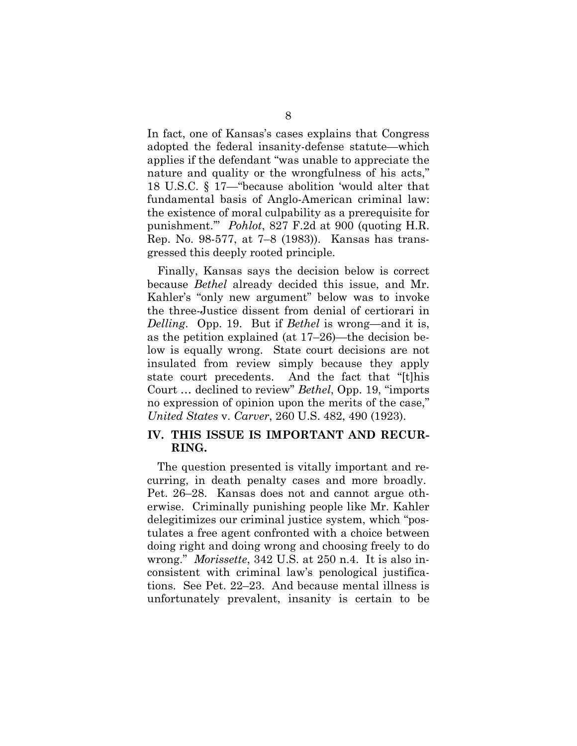In fact, one of Kansas's cases explains that Congress adopted the federal insanity-defense statute—which applies if the defendant "was unable to appreciate the nature and quality or the wrongfulness of his acts," 18 U.S.C. § 17—"because abolition 'would alter that fundamental basis of Anglo-American criminal law: the existence of moral culpability as a prerequisite for punishment.'" *Pohlot*, 827 F.2d at 900 (quoting H.R. Rep. No. 98-577, at 7–8 (1983)). Kansas has transgressed this deeply rooted principle.

Finally, Kansas says the decision below is correct because *Bethel* already decided this issue, and Mr. Kahler's "only new argument" below was to invoke the three-Justice dissent from denial of certiorari in *Delling*. Opp. 19. But if *Bethel* is wrong—and it is, as the petition explained (at 17–26)—the decision below is equally wrong. State court decisions are not insulated from review simply because they apply state court precedents. And the fact that "[t]his Court … declined to review" *Bethel*, Opp. 19, "imports no expression of opinion upon the merits of the case," *United States* v. *Carver*, 260 U.S. 482, 490 (1923).

#### **IV. THIS ISSUE IS IMPORTANT AND RECUR-RING.**

The question presented is vitally important and recurring, in death penalty cases and more broadly. Pet. 26–28. Kansas does not and cannot argue otherwise. Criminally punishing people like Mr. Kahler delegitimizes our criminal justice system, which "postulates a free agent confronted with a choice between doing right and doing wrong and choosing freely to do wrong." *Morissette*, 342 U.S. at 250 n.4. It is also inconsistent with criminal law's penological justifications. See Pet. 22–23. And because mental illness is unfortunately prevalent, insanity is certain to be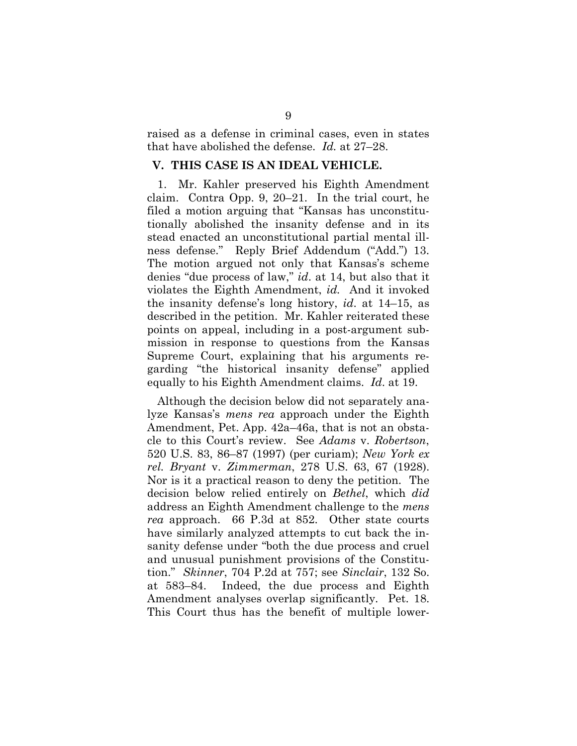raised as a defense in criminal cases, even in states that have abolished the defense. *Id.* at 27–28.

#### **V. THIS CASE IS AN IDEAL VEHICLE.**

1. Mr. Kahler preserved his Eighth Amendment claim. Contra Opp. 9, 20–21. In the trial court, he filed a motion arguing that "Kansas has unconstitutionally abolished the insanity defense and in its stead enacted an unconstitutional partial mental illness defense." Reply Brief Addendum ("Add.") 13. The motion argued not only that Kansas's scheme denies "due process of law," *id*. at 14, but also that it violates the Eighth Amendment, *id.* And it invoked the insanity defense's long history, *id*. at 14–15, as described in the petition. Mr. Kahler reiterated these points on appeal, including in a post-argument submission in response to questions from the Kansas Supreme Court, explaining that his arguments regarding "the historical insanity defense" applied equally to his Eighth Amendment claims. *Id*. at 19.

Although the decision below did not separately analyze Kansas's *mens rea* approach under the Eighth Amendment, Pet. App. 42a–46a, that is not an obstacle to this Court's review. See *Adams* v. *Robertson*, 520 U.S. 83, 86–87 (1997) (per curiam); *New York ex rel. Bryant* v. *Zimmerman*, 278 U.S. 63, 67 (1928). Nor is it a practical reason to deny the petition. The decision below relied entirely on *Bethel*, which *did* address an Eighth Amendment challenge to the *mens rea* approach. 66 P.3d at 852. Other state courts have similarly analyzed attempts to cut back the insanity defense under "both the due process and cruel and unusual punishment provisions of the Constitution." *Skinner*, 704 P.2d at 757; see *Sinclair*, 132 So. at 583–84. Indeed, the due process and Eighth Amendment analyses overlap significantly. Pet. 18. This Court thus has the benefit of multiple lower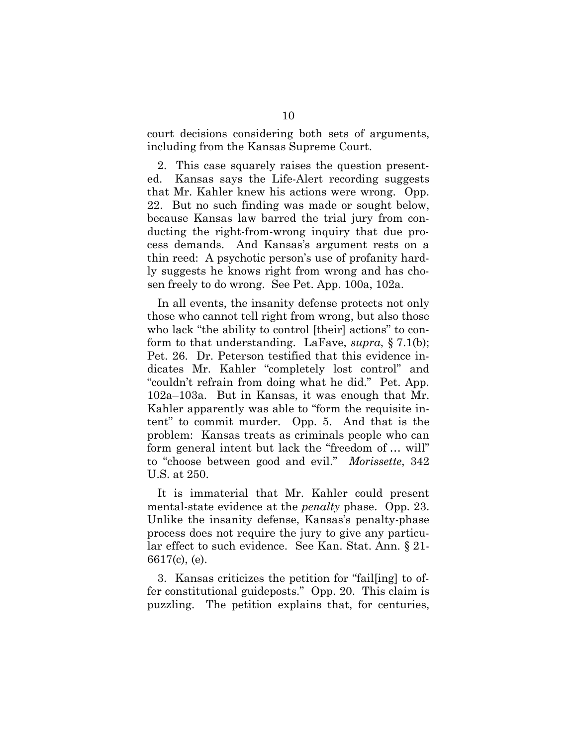court decisions considering both sets of arguments, including from the Kansas Supreme Court.

2. This case squarely raises the question presented. Kansas says the Life-Alert recording suggests that Mr. Kahler knew his actions were wrong. Opp. 22. But no such finding was made or sought below, because Kansas law barred the trial jury from conducting the right-from-wrong inquiry that due process demands. And Kansas's argument rests on a thin reed: A psychotic person's use of profanity hardly suggests he knows right from wrong and has chosen freely to do wrong. See Pet. App. 100a, 102a.

In all events, the insanity defense protects not only those who cannot tell right from wrong, but also those who lack "the ability to control [their] actions" to conform to that understanding. LaFave, *supra*, § 7.1(b); Pet. 26. Dr. Peterson testified that this evidence indicates Mr. Kahler "completely lost control" and "couldn't refrain from doing what he did." Pet. App. 102a–103a. But in Kansas, it was enough that Mr. Kahler apparently was able to "form the requisite intent" to commit murder. Opp. 5. And that is the problem: Kansas treats as criminals people who can form general intent but lack the "freedom of … will" to "choose between good and evil." *Morissette*, 342 U.S. at 250.

It is immaterial that Mr. Kahler could present mental-state evidence at the *penalty* phase. Opp. 23. Unlike the insanity defense, Kansas's penalty-phase process does not require the jury to give any particular effect to such evidence. See Kan. Stat. Ann. § 21- 6617(c), (e).

3. Kansas criticizes the petition for "fail[ing] to offer constitutional guideposts." Opp. 20. This claim is puzzling. The petition explains that, for centuries,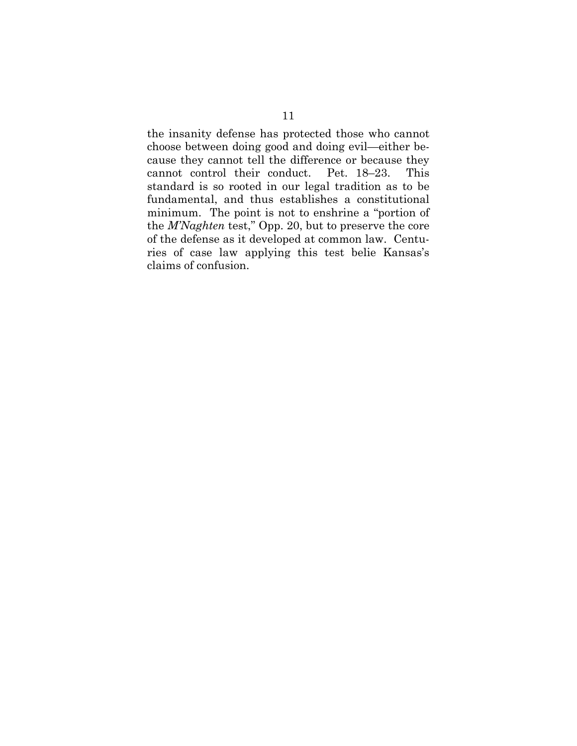the insanity defense has protected those who cannot choose between doing good and doing evil—either because they cannot tell the difference or because they cannot control their conduct. Pet. 18–23. This standard is so rooted in our legal tradition as to be fundamental, and thus establishes a constitutional minimum. The point is not to enshrine a "portion of the *M'Naghten* test," Opp. 20, but to preserve the core of the defense as it developed at common law. Centuries of case law applying this test belie Kansas's claims of confusion.